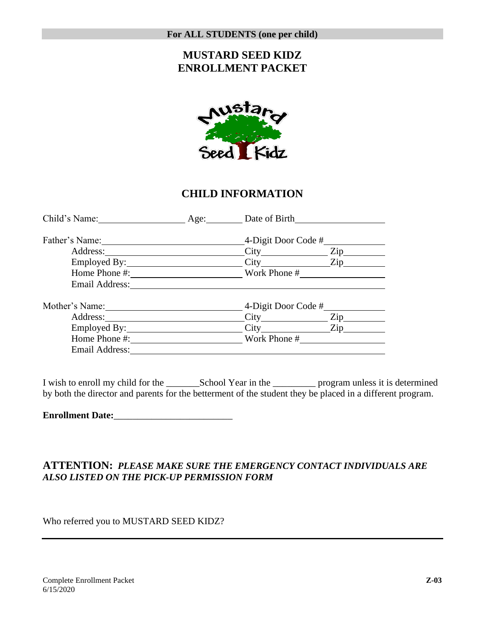## **MUSTARD SEED KIDZ ENROLLMENT PACKET**



### **CHILD INFORMATION**

| Child's Name:  | Age: Date of Birth  |                                 |
|----------------|---------------------|---------------------------------|
|                | 4-Digit Door Code # |                                 |
| Address:       |                     | Zip                             |
|                | City Zip            |                                 |
| Home Phone #:  | Work Phone #        |                                 |
| Email Address: |                     |                                 |
| Mother's Name: | 4-Digit Door Code # |                                 |
| Address:       |                     | $\operatorname{Zip}_{\text{-}}$ |
|                | City Zip            |                                 |
| Home Phone #:  | Work Phone #        |                                 |
| Email Address: |                     |                                 |

I wish to enroll my child for the \_\_\_\_\_\_\_School Year in the \_\_\_\_\_\_\_\_\_ program unless it is determined by both the director and parents for the betterment of the student they be placed in a different program.

**Enrollment Date:**\_\_\_\_\_\_\_\_\_\_\_\_\_\_\_\_\_\_\_\_\_\_\_\_\_

#### **ATTENTION:** *PLEASE MAKE SURE THE EMERGENCY CONTACT INDIVIDUALS ARE ALSO LISTED ON THE PICK-UP PERMISSION FORM*

Who referred you to MUSTARD SEED KIDZ?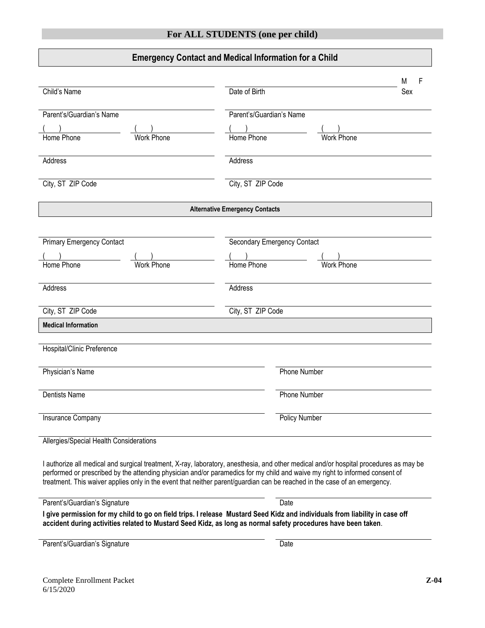### **Emergency Contact and Medical Information for a Child**

| Child's Name<br>Parent's/Guardian's Name                                                                                  | Date of Birth<br>Sex<br>Parent's/Guardian's Name                                                                                                                                                                                                                     |  |
|---------------------------------------------------------------------------------------------------------------------------|----------------------------------------------------------------------------------------------------------------------------------------------------------------------------------------------------------------------------------------------------------------------|--|
|                                                                                                                           |                                                                                                                                                                                                                                                                      |  |
| Home Phone<br><b>Work Phone</b>                                                                                           | Home Phone<br><b>Work Phone</b>                                                                                                                                                                                                                                      |  |
| Address                                                                                                                   | Address                                                                                                                                                                                                                                                              |  |
| City, ST ZIP Code                                                                                                         | City, ST ZIP Code                                                                                                                                                                                                                                                    |  |
|                                                                                                                           | <b>Alternative Emergency Contacts</b>                                                                                                                                                                                                                                |  |
| <b>Primary Emergency Contact</b><br>Home Phone<br><b>Work Phone</b>                                                       | <b>Secondary Emergency Contact</b><br>Home Phone<br><b>Work Phone</b>                                                                                                                                                                                                |  |
| Address                                                                                                                   | Address                                                                                                                                                                                                                                                              |  |
| City, ST ZIP Code                                                                                                         | City, ST ZIP Code                                                                                                                                                                                                                                                    |  |
| <b>Medical Information</b>                                                                                                |                                                                                                                                                                                                                                                                      |  |
| Hospital/Clinic Preference                                                                                                |                                                                                                                                                                                                                                                                      |  |
| Physician's Name                                                                                                          | Phone Number                                                                                                                                                                                                                                                         |  |
| <b>Dentists Name</b>                                                                                                      | <b>Phone Number</b>                                                                                                                                                                                                                                                  |  |
| Insurance Company                                                                                                         | <b>Policy Number</b>                                                                                                                                                                                                                                                 |  |
| Allergies/Special Health Considerations                                                                                   |                                                                                                                                                                                                                                                                      |  |
| treatment. This waiver applies only in the event that neither parent/guardian can be reached in the case of an emergency. | I authorize all medical and surgical treatment, X-ray, laboratory, anesthesia, and other medical and/or hospital procedures as may be<br>performed or prescribed by the attending physician and/or paramedics for my child and waive my right to informed consent of |  |
| Parent's/Guardian's Signature                                                                                             | Date                                                                                                                                                                                                                                                                 |  |
| accident during activities related to Mustard Seed Kidz, as long as normal safety procedures have been taken.             | I give permission for my child to go on field trips. I release Mustard Seed Kidz and individuals from liability in case off                                                                                                                                          |  |
| Parent's/Guardian's Signature                                                                                             | Date                                                                                                                                                                                                                                                                 |  |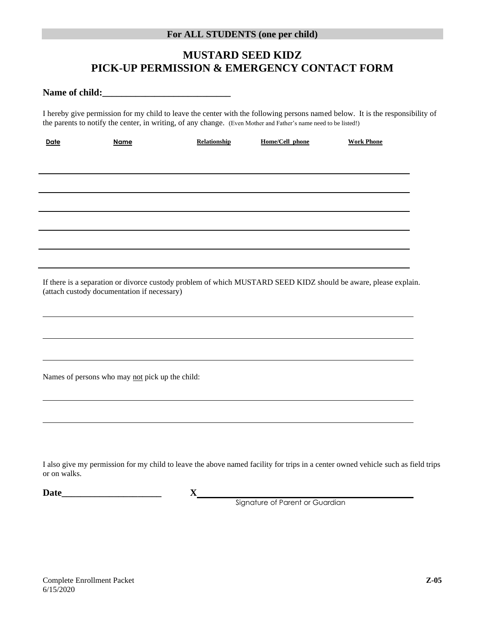## **MUSTARD SEED KIDZ PICK-UP PERMISSION & EMERGENCY CONTACT FORM**

**Name of child:\_\_\_\_\_\_\_\_\_\_\_\_\_\_\_\_\_\_\_\_\_\_\_\_\_\_\_**

I hereby give permission for my child to leave the center with the following persons named below. It is the responsibility of the parents to notify the center, in writing, of any change. (Even Mother and Father's name need to be listed!)

| Date         | Name                                            | Relationship                                                                                                                     | Home/Cell phone                                                                       | <b>Work Phone</b> |  |
|--------------|-------------------------------------------------|----------------------------------------------------------------------------------------------------------------------------------|---------------------------------------------------------------------------------------|-------------------|--|
|              |                                                 |                                                                                                                                  |                                                                                       |                   |  |
|              |                                                 |                                                                                                                                  |                                                                                       |                   |  |
|              |                                                 | ,我们也不会有一个人的人,我们也不会有一个人的人,我们也不会有一个人的人,我们也不会有一个人的人,我们也不会有一个人的人。""我们的人,我们也不会有一个人的人,我                                                |                                                                                       |                   |  |
|              |                                                 |                                                                                                                                  |                                                                                       |                   |  |
|              |                                                 |                                                                                                                                  |                                                                                       |                   |  |
|              |                                                 | ,我们也不会有什么。""我们的人,我们也不会有什么?""我们的人,我们也不会有什么?""我们的人,我们也不会有什么?""我们的人,我们也不会有什么?""我们的人                                                 |                                                                                       |                   |  |
|              |                                                 |                                                                                                                                  |                                                                                       |                   |  |
|              |                                                 |                                                                                                                                  |                                                                                       |                   |  |
|              |                                                 | ,我们也不会有一个人的人,我们也不会有一个人的人,我们也不会有一个人的人,我们也不会有一个人的人,我们也不会有一个人的人。""我们的人,我们也不会有一个人的人,我                                                |                                                                                       |                   |  |
|              |                                                 | If there is a separation or divorce custody problem of which MUSTARD SEED KIDZ should be aware, please explain.                  |                                                                                       |                   |  |
|              | (attach custody documentation if necessary)     |                                                                                                                                  |                                                                                       |                   |  |
|              |                                                 |                                                                                                                                  |                                                                                       |                   |  |
|              |                                                 |                                                                                                                                  |                                                                                       |                   |  |
|              |                                                 | ,我们也不会有什么。""我们的人,我们也不会有什么?""我们的人,我们也不会有什么?""我们的人,我们也不会有什么?""我们的人,我们也不会有什么?""我们的人                                                 |                                                                                       |                   |  |
|              |                                                 |                                                                                                                                  |                                                                                       |                   |  |
|              |                                                 |                                                                                                                                  |                                                                                       |                   |  |
|              | Names of persons who may not pick up the child: |                                                                                                                                  |                                                                                       |                   |  |
|              |                                                 |                                                                                                                                  |                                                                                       |                   |  |
|              |                                                 |                                                                                                                                  |                                                                                       |                   |  |
|              |                                                 |                                                                                                                                  |                                                                                       |                   |  |
|              |                                                 |                                                                                                                                  |                                                                                       |                   |  |
|              |                                                 |                                                                                                                                  |                                                                                       |                   |  |
| or on walks. |                                                 | I also give my permission for my child to leave the above named facility for trips in a center owned vehicle such as field trips |                                                                                       |                   |  |
| Date         |                                                 |                                                                                                                                  | $\boldsymbol{\mathrm{X}}$ and $\boldsymbol{\mathrm{X}}$ and $\boldsymbol{\mathrm{X}}$ |                   |  |
|              |                                                 |                                                                                                                                  |                                                                                       |                   |  |

Signature of Parent or Guardian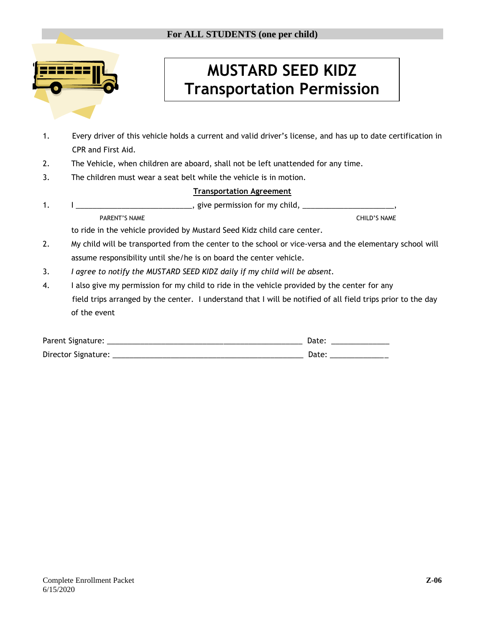

# **MUSTARD SEED KIDZ Transportation Permission**

- 1. Every driver of this vehicle holds a current and valid driver's license, and has up to date certification in CPR and First Aid.
- 2. The Vehicle, when children are aboard, shall not be left unattended for any time.
- 3. The children must wear a seat belt while the vehicle is in motion.

#### **Transportation Agreement**

1. I \_\_\_\_\_\_\_\_\_\_\_\_\_\_\_\_\_\_\_\_\_\_\_\_\_\_\_\_\_\_\_\_\_, give permission for my child, \_\_\_\_\_\_\_\_\_\_ PARENT'S NAME CHILD'S NAME

to ride in the vehicle provided by Mustard Seed Kidz child care center.

- 2. My child will be transported from the center to the school or vice-versa and the elementary school will assume responsibility until she/he is on board the center vehicle.
- 3. *I agree to notify the MUSTARD SEED KIDZ daily if my child will be absent.*
- 4. I also give my permission for my child to ride in the vehicle provided by the center for any field trips arranged by the center. I understand that I will be notified of all field trips prior to the day of the event

| Parent Signature:   | Date |
|---------------------|------|
| Director Signature: | Date |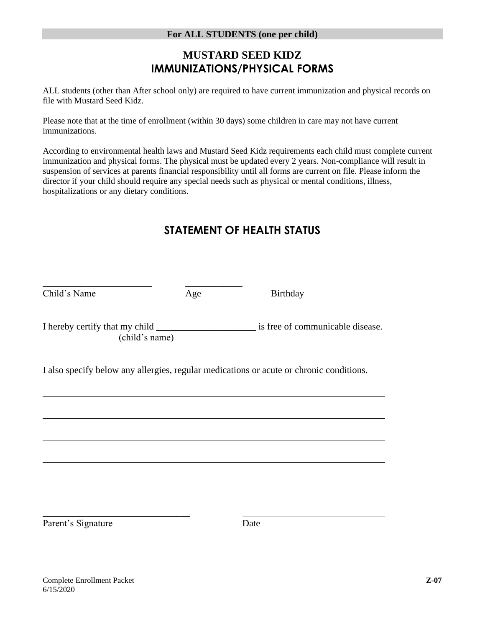## **MUSTARD SEED KIDZ IMMUNIZATIONS/PHYSICAL FORMS**

ALL students (other than After school only) are required to have current immunization and physical records on file with Mustard Seed Kidz.

Please note that at the time of enrollment (within 30 days) some children in care may not have current immunizations.

According to environmental health laws and Mustard Seed Kidz requirements each child must complete current immunization and physical forms. The physical must be updated every 2 years. Non-compliance will result in suspension of services at parents financial responsibility until all forms are current on file. Please inform the director if your child should require any special needs such as physical or mental conditions, illness, hospitalizations or any dietary conditions.

## **STATEMENT OF HEALTH STATUS**

| Child's Name | Age            | Birthday                                                                                |  |
|--------------|----------------|-----------------------------------------------------------------------------------------|--|
|              | (child's name) | is free of communicable disease.                                                        |  |
|              |                | I also specify below any allergies, regular medications or acute or chronic conditions. |  |
|              |                |                                                                                         |  |
|              |                |                                                                                         |  |
|              |                |                                                                                         |  |

Parent's Signature Date

**\_\_\_\_\_\_\_\_\_\_\_\_\_\_\_\_\_\_\_\_\_\_\_\_\_\_\_\_\_\_\_**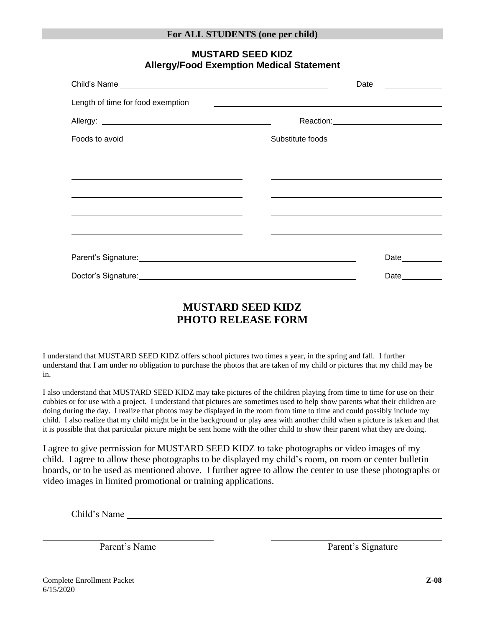|                                                                                                                                                                                                                                      |                                                                                                                      |                  | Date                                                                                                                                                                                                                           |
|--------------------------------------------------------------------------------------------------------------------------------------------------------------------------------------------------------------------------------------|----------------------------------------------------------------------------------------------------------------------|------------------|--------------------------------------------------------------------------------------------------------------------------------------------------------------------------------------------------------------------------------|
| Length of time for food exemption                                                                                                                                                                                                    | <u>se estados de la contrada de la contrada de la contrada de la contrada de la contrada de la contrada de la co</u> |                  |                                                                                                                                                                                                                                |
|                                                                                                                                                                                                                                      |                                                                                                                      |                  | Reaction: Network and the set of the set of the set of the set of the set of the set of the set of the set of the set of the set of the set of the set of the set of the set of the set of the set of the set of the set of th |
| Foods to avoid                                                                                                                                                                                                                       |                                                                                                                      | Substitute foods |                                                                                                                                                                                                                                |
|                                                                                                                                                                                                                                      |                                                                                                                      |                  |                                                                                                                                                                                                                                |
|                                                                                                                                                                                                                                      |                                                                                                                      |                  |                                                                                                                                                                                                                                |
|                                                                                                                                                                                                                                      |                                                                                                                      |                  |                                                                                                                                                                                                                                |
| <u> 1980 - Jan James Sandarík (f. 1980)</u>                                                                                                                                                                                          |                                                                                                                      |                  |                                                                                                                                                                                                                                |
| Parent's Signature: <u>contract and the set of the set of the set of the set of the set of the set of the set of the set of the set of the set of the set of the set of the set of the set of the set of the set of the set of t</u> |                                                                                                                      |                  | Date_________                                                                                                                                                                                                                  |
| Doctor's Signature: Management of the Contract of the Contract of the Contract of the Contract of the Contract of the Contract of the Contract of the Contract of the Contract of the Contract of the Contract of the Contract       |                                                                                                                      |                  | Date                                                                                                                                                                                                                           |

#### **MUSTARD SEED KIDZ Allergy/Food Exemption Medical Statement**

## **MUSTARD SEED KIDZ PHOTO RELEASE FORM**

I understand that MUSTARD SEED KIDZ offers school pictures two times a year, in the spring and fall. I further understand that I am under no obligation to purchase the photos that are taken of my child or pictures that my child may be in.

I also understand that MUSTARD SEED KIDZ may take pictures of the children playing from time to time for use on their cubbies or for use with a project. I understand that pictures are sometimes used to help show parents what their children are doing during the day. I realize that photos may be displayed in the room from time to time and could possibly include my child. I also realize that my child might be in the background or play area with another child when a picture is taken and that it is possible that that particular picture might be sent home with the other child to show their parent what they are doing.

I agree to give permission for MUSTARD SEED KIDZ to take photographs or video images of my child. I agree to allow these photographs to be displayed my child's room, on room or center bulletin boards, or to be used as mentioned above. I further agree to allow the center to use these photographs or video images in limited promotional or training applications.

Child's Name

Parent's Name Parent's Signature

Complete Enrollment Packet 6/15/2020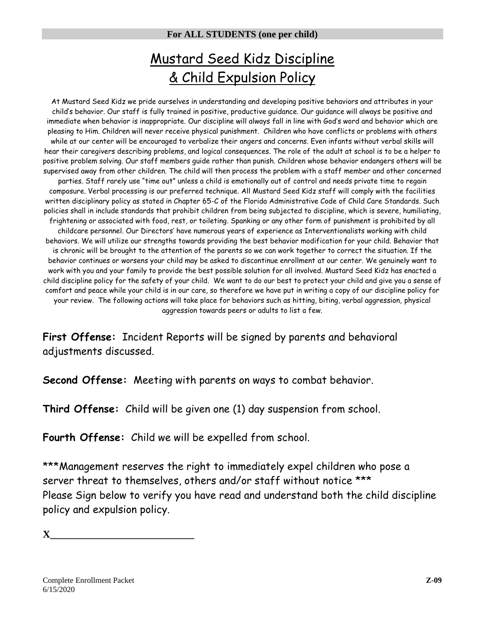## Mustard Seed Kidz Discipline & Child Expulsion Policy

At Mustard Seed Kidz we pride ourselves in understanding and developing positive behaviors and attributes in your child's behavior. Our staff is fully trained in positive, productive guidance. Our guidance will always be positive and immediate when behavior is inappropriate. Our discipline will always fall in line with God's word and behavior which are pleasing to Him. Children will never receive physical punishment. Children who have conflicts or problems with others while at our center will be encouraged to verbalize their angers and concerns. Even infants without verbal skills will hear their caregivers describing problems, and logical consequences. The role of the adult at school is to be a helper to positive problem solving. Our staff members guide rather than punish. Children whose behavior endangers others will be supervised away from other children. The child will then process the problem with a staff member and other concerned parties. Staff rarely use "time out" unless a child is emotionally out of control and needs private time to regain composure. Verbal processing is our preferred technique. All Mustard Seed Kidz staff will comply with the facilities written disciplinary policy as stated in Chapter 65-C of the Florida Administrative Code of Child Care Standards. Such policies shall in include standards that prohibit children from being subjected to discipline, which is severe, humiliating, frightening or associated with food, rest, or toileting. Spanking or any other form of punishment is prohibited by all childcare personnel. Our Directors' have numerous years of experience as Interventionalists working with child behaviors. We will utilize our strengths towards providing the best behavior modification for your child. Behavior that is chronic will be brought to the attention of the parents so we can work together to correct the situation. If the behavior continues or worsens your child may be asked to discontinue enrollment at our center. We genuinely want to work with you and your family to provide the best possible solution for all involved. Mustard Seed Kidz has enacted a child discipline policy for the safety of your child. We want to do our best to protect your child and give you a sense of comfort and peace while your child is in our care, so therefore we have put in writing a copy of our discipline policy for your review. The following actions will take place for behaviors such as hitting, biting, verbal aggression, physical aggression towards peers or adults to list a few.

**First Offense:** Incident Reports will be signed by parents and behavioral adjustments discussed.

**Second Offense:** Meeting with parents on ways to combat behavior.

**Third Offense:** Child will be given one (1) day suspension from school.

**Fourth Offense:** Child we will be expelled from school.

\*\*\*Management reserves the right to immediately expel children who pose a server threat to themselves, others and/or staff without notice \*\*\* Please Sign below to verify you have read and understand both the child discipline policy and expulsion policy.

**X\_\_\_\_\_\_\_\_\_\_\_\_\_\_\_\_\_\_\_\_\_\_\_\_\_\_\_\_**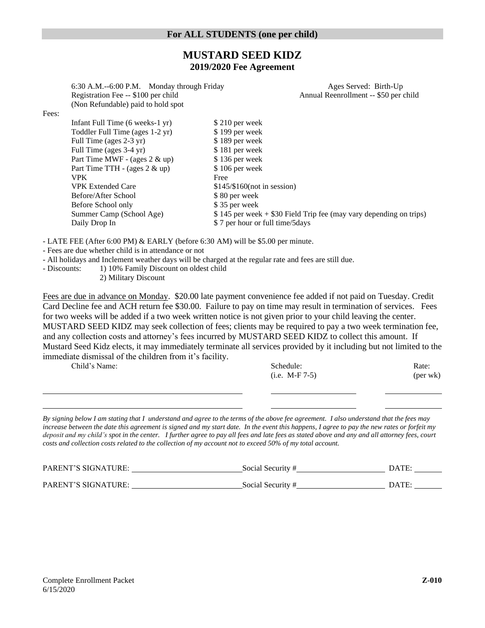## **MUSTARD SEED KIDZ 2019/2020 Fee Agreement**

6:30 A.M.--6:00 P.M. Monday through Friday Ages Served: Birth-Up Registration Fee -- \$100 per child Annual Reenrollment -- \$50 per child (Non Refundable) paid to hold spot

Fees:

| Infant Full Time (6 weeks-1 yr)   | \$210 per week                                                      |
|-----------------------------------|---------------------------------------------------------------------|
| Toddler Full Time (ages 1-2 yr)   | \$199 per week                                                      |
| Full Time (ages 2-3 yr)           | \$189 per week                                                      |
| Full Time (ages 3-4 yr)           | \$181 per week                                                      |
| Part Time MWF - (ages $2 \& up$ ) | \$136 per week                                                      |
| Part Time TTH - (ages $2 \& up$ ) | \$106 per week                                                      |
| <b>VPK</b>                        | Free                                                                |
| <b>VPK Extended Care</b>          | $$145/\$160$ (not in session)                                       |
| Before/After School               | \$80 per week                                                       |
| Before School only                | \$35 per week                                                       |
| Summer Camp (School Age)          | $$145$ per week + \$30 Field Trip fee (may vary depending on trips) |
| Daily Drop In                     | \$7 per hour or full time/5 days                                    |

- LATE FEE (After 6:00 PM) & EARLY (before 6:30 AM) will be \$5.00 per minute.

- Fees are due whether child is in attendance or not

- All holidays and Inclement weather days will be charged at the regular rate and fees are still due.

- Discounts: 1) 10% Family Discount on oldest child

2) Military Discount

Fees are due in advance on Monday. \$20.00 late payment convenience fee added if not paid on Tuesday. Credit Card Decline fee and ACH return fee \$30.00. Failure to pay on time may result in termination of services. Fees for two weeks will be added if a two week written notice is not given prior to your child leaving the center. MUSTARD SEED KIDZ may seek collection of fees; clients may be required to pay a two week termination fee, and any collection costs and attorney's fees incurred by MUSTARD SEED KIDZ to collect this amount. If Mustard Seed Kidz elects, it may immediately terminate all services provided by it including but not limited to the immediate dismissal of the children from it's facility.

| Child's Name: |
|---------------|
|---------------|

| Child's Name: | Schedule:        | Rate:    |
|---------------|------------------|----------|
|               | $(i.e. M-F 7-5)$ | (per wk) |

*By signing below I am stating that I understand and agree to the terms of the above fee agreement. I also understand that the fees may increase between the date this agreement is signed and my start date. In the event this happens, I agree to pay the new rates or forfeit my deposit and my child's spot in the center. I further agree to pay all fees and late fees as stated above and any and all attorney fees, court costs and collection costs related to the collection of my account not to exceed 50% of my total account.*

| <b>PARENT'S SIGNATURE:</b> | Social Security # | <b>DATE:</b> |
|----------------------------|-------------------|--------------|
| PARENT'S SIGNATURE:        | Social Security # | DATE:        |
|                            |                   |              |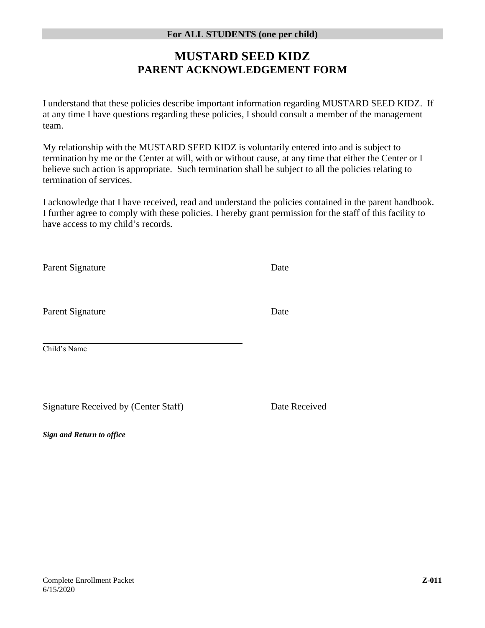## **MUSTARD SEED KIDZ PARENT ACKNOWLEDGEMENT FORM**

I understand that these policies describe important information regarding MUSTARD SEED KIDZ. If at any time I have questions regarding these policies, I should consult a member of the management team.

My relationship with the MUSTARD SEED KIDZ is voluntarily entered into and is subject to termination by me or the Center at will, with or without cause, at any time that either the Center or I believe such action is appropriate. Such termination shall be subject to all the policies relating to termination of services.

I acknowledge that I have received, read and understand the policies contained in the parent handbook. I further agree to comply with these policies. I hereby grant permission for the staff of this facility to have access to my child's records.

Parent Signature Date Parent Signature Date Child's Name Signature Received by (Center Staff) Date Received

*Sign and Return to office*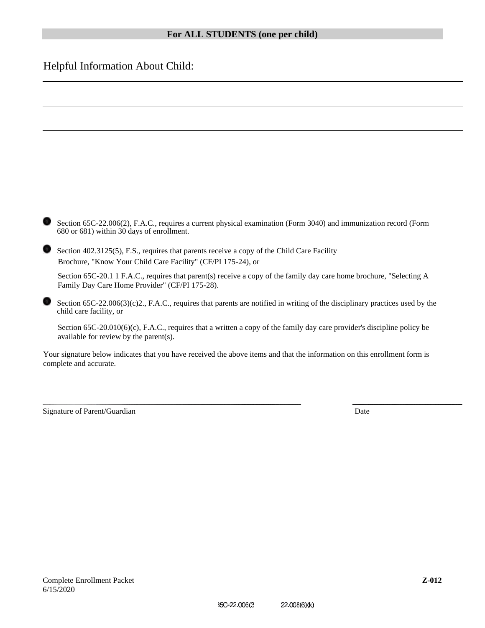## Helpful Information About Child:

| Section 65C-22.006(2), F.A.C., requires a current physical examination (Form 3040) and immunization record (Form<br>680 or 681) within 30 days of enrollment.          |
|------------------------------------------------------------------------------------------------------------------------------------------------------------------------|
| Section 402.3125(5), F.S., requires that parents receive a copy of the Child Care Facility<br>Brochure, "Know Your Child Care Facility" (CF/PI 175-24), or             |
| Section 65C-20.1 1 F.A.C., requires that parent(s) receive a copy of the family day care home brochure, "Selecting A<br>Family Day Care Home Provider" (CF/PI 175-28). |
| Section $65C-22.006(3)(c)2$ , F.A.C., requires that parents are notified in writing of the disciplinary practices used by the<br>child care facility, or               |
| Section $65C-20.010(6)(c)$ , F.A.C., requires that a written a copy of the family day care provider's discipline policy be<br>available for review by the parent(s).   |
| Your signature below indicates that you have received the above items and that the information on this enrollment form is<br>complete and accurate.                    |
|                                                                                                                                                                        |
|                                                                                                                                                                        |

Signature of Parent/Guardian Date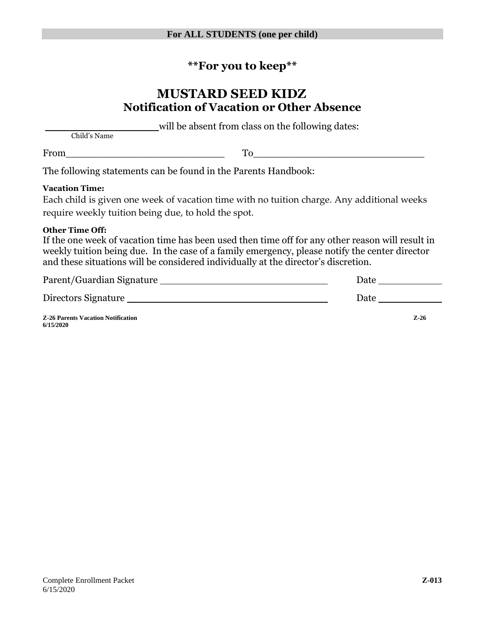## **\*\*For you to keep\*\***

## **MUSTARD SEED KIDZ Notification of Vacation or Other Absence**

will be absent from class on the following dates:

Child's Name

From To

The following statements can be found in the Parents Handbook:

#### **Vacation Time:**

| Each child is given one week of vacation time with no tuition charge. Any additional weeks |  |
|--------------------------------------------------------------------------------------------|--|
| require weekly tuition being due, to hold the spot.                                        |  |

#### **Other Time Off:**

If the one week of vacation time has been used then time off for any other reason will result in weekly tuition being due. In the case of a family emergency, please notify the center director and these situations will be considered individually at the director's discretion.

| Parent/Guardian Signature | Date |
|---------------------------|------|
| Directors Signature       | Date |

**Z-26 Parents Vacation Notification Z-26 6/15/2020**